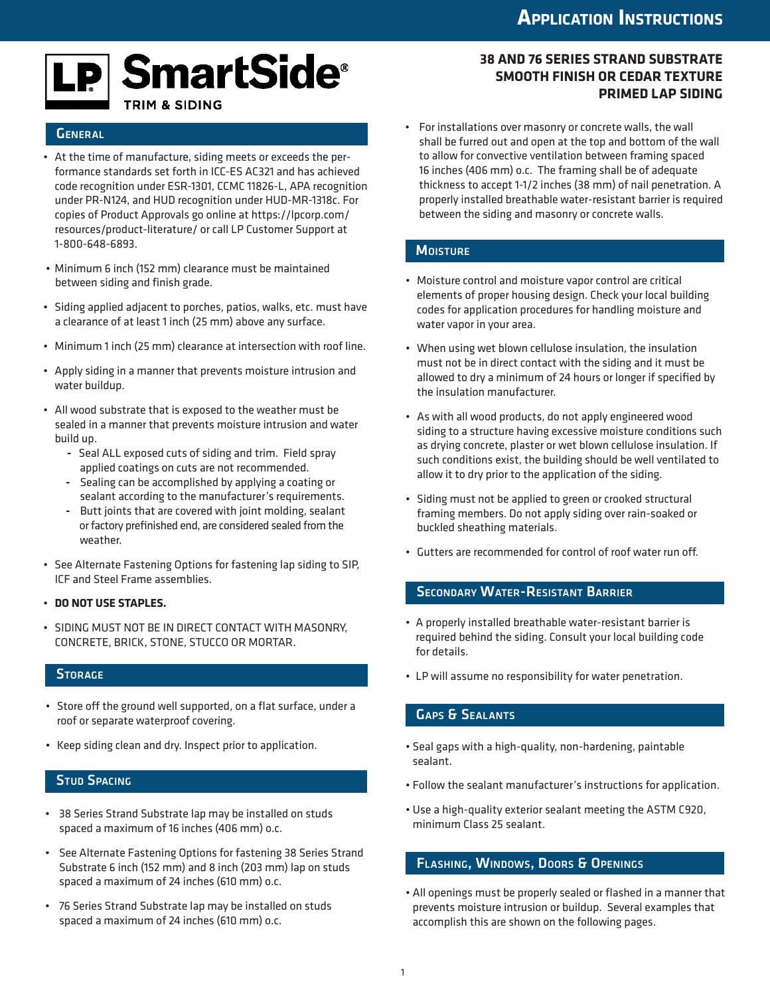**PRIMED LAP SIDING**

**38 AND 76 SERIES STRAND SUBSTRATE SMOOTH FINISH OR CEDAR TEXTURE**

## **P** SmartSide® TRIM & SIDING

### **GENERAL**

- At the time of manufacture, siding meets or exceeds the performance standards set forth in ICC-ES AC321 and has achieved code recognition under ESR-1301, CCMC 11826-L, APA recognition under PR-N124, and HUD recognition under HUD-MR-1318c. For copies of Product Approvals go online at https://lpcorp.com/ resources/product-literature/ or call LP Customer Support at 1-800-648-6893.
- Minimum 6 inch (152 mm) clearance must be maintained between siding and finish grade.
- Siding applied adjacent to porches, patios, walks, etc. must have a clearance of at least 1 inch (25 mm) above any surface.
- Minimum 1 inch (25 mm) clearance at intersection with roof line.
- Apply siding in a manner that prevents moisture intrusion and water buildup.
- All wood substrate that is exposed to the weather must be sealed in a manner that prevents moisture intrusion and water build up.
	- **-** Seal ALL exposed cuts of siding and trim. Field spray applied coatings on cuts are not recommended.
	- **-** Sealing can be accomplished by applying a coating or sealant according to the manufacturer's requirements.
	- **-** Butt joints that are covered with joint molding, sealant or factory prefinished end, are considered sealed from the weather.
- See Alternate Fastening Options for fastening lap siding to SIP, ICF and Steel Frame assemblies.

### • **DO NOT USE STAPLES.**

• SIDING MUST NOT BE IN DIRECT CONTACT WITH MASONRY, CONCRETE, BRICK, STONE, STUCCO OR MORTAR.

### **STORAGE**

- Store off the ground well supported, on a flat surface, under a roof or separate waterproof covering.
- Keep siding clean and dry. Inspect prior to application.

### **STUD SPACING**

- 38 Series Strand Substrate lap may be installed on studs spaced a maximum of 16 inches (406 mm) o.c.
- See Alternate Fastening Options for fastening 38 Series Strand Substrate 6 inch (152 mm) and 8 inch (203 mm) lap on studs spaced a maximum of 24 inches (610 mm) o.c.
- 76 Series Strand Substrate lap may be installed on studs spaced a maximum of 24 inches (610 mm) o.c.

• For installations over masonry or concrete walls, the wall shall be furred out and open at the top and bottom of the wall to allow for convective ventilation between framing spaced 16 inches (406 mm) o.c. The framing shall be of adequate thickness to accept 1-1/2 inches (38 mm) of nail penetration. A properly installed breathable water-resistant barrier is required between the siding and masonry or concrete walls.

### **MOISTURE**

- Moisture control and moisture vapor control are critical elements of proper housing design. Check your local building codes for application procedures for handling moisture and water vapor in your area.
- When using wet blown cellulose insulation, the insulation must not be in direct contact with the siding and it must be allowed to dry a minimum of 24 hours or longer if specified by the insulation manufacturer.
- As with all wood products, do not apply engineered wood siding to a structure having excessive moisture conditions such as drying concrete, plaster or wet blown cellulose insulation. If such conditions exist, the building should be well ventilated to allow it to dry prior to the application of the siding.
- Siding must not be applied to green or crooked structural framing members. Do not apply siding over rain-soaked or buckled sheathing materials.
- Gutters are recommended for control of roof water run off.

### Secondary Water-Resistant Barrier

- A properly installed breathable water-resistant barrier is required behind the siding. Consult your local building code for details.
- LP will assume no responsibility for water penetration.

### GAPS & SEALANTS

- Seal gaps with a high-quality, non-hardening, paintable sealant.
- Follow the sealant manufacturer's instructions for application.
- Use a high-quality exterior sealant meeting the ASTM C920, minimum Class 25 sealant.

### Flashing, Windows, Doors & Openings

• All openings must be properly sealed or flashed in a manner that prevents moisture intrusion or buildup. Several examples that accomplish this are shown on the following pages.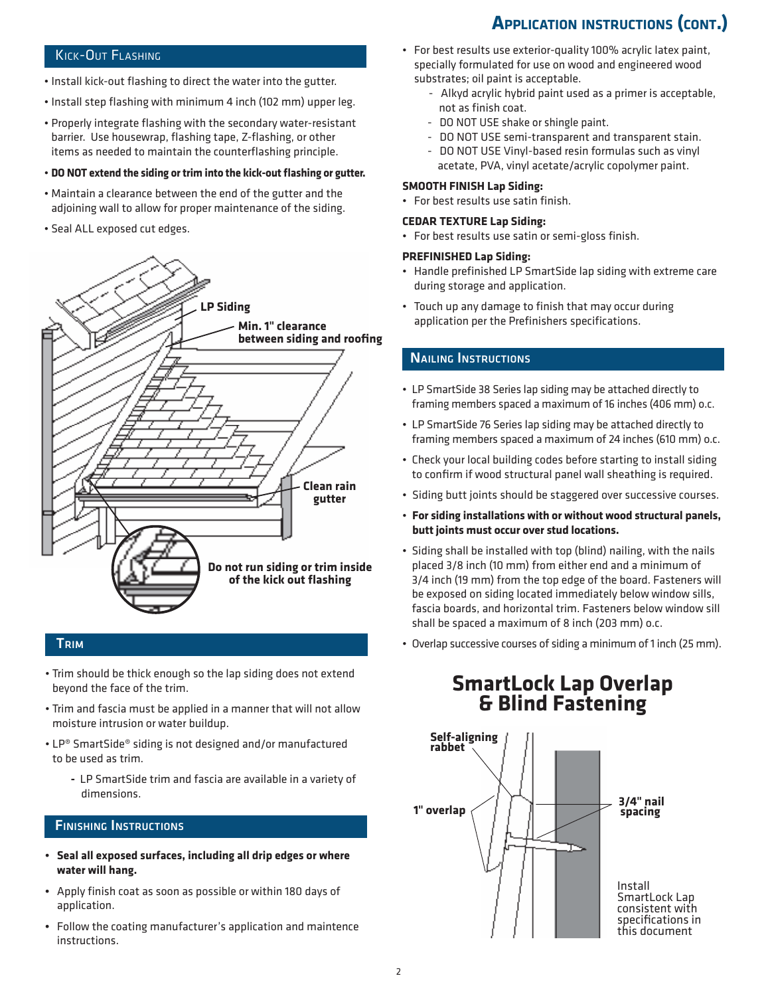## **Application instructions (cont.)**

### Kick-Out Flashing

- Install kick-out flashing to direct the water into the gutter.
- Install step flashing with minimum 4 inch (102 mm) upper leg.
- Properly integrate flashing with the secondary water-resistant barrier. Use housewrap, flashing tape, Z-flashing, or other items as needed to maintain the counterflashing principle.
- **DO NOT extend the siding or trim into the kick-out flashing or gutter.**
- Maintain a clearance between the end of the gutter and the adjoining wall to allow for proper maintenance of the siding.
- Seal ALL exposed cut edges.



### **TRIM**

- Trim should be thick enough so the lap siding does not extend beyond the face of the trim.
- Trim and fascia must be applied in a manner that will not allow moisture intrusion or water buildup.
- LP® SmartSide® siding is not designed and/or manufactured to be used as trim.
	- **-** LP SmartSide trim and fascia are available in a variety of dimensions.

### Finishing Instructions

- **• Seal all exposed surfaces, including all drip edges or where water will hang.**
- **•** Apply finish coat as soon as possible or within 180 days of application.
- **•** Follow the coating manufacturer's application and maintence instructions.
- For best results use exterior-quality 100% acrylic latex paint, specially formulated for use on wood and engineered wood substrates; oil paint is acceptable.
	- Alkyd acrylic hybrid paint used as a primer is acceptable, not as finish coat.
	- DO NOT USE shake or shingle paint.
	- DO NOT USE semi-transparent and transparent stain.
	- DO NOT USE Vinyl-based resin formulas such as vinyl
	- acetate, PVA, vinyl acetate/acrylic copolymer paint.

### **SMOOTH FINISH Lap Siding:**

• For best results use satin finish.

### **CEDAR TEXTURE Lap Siding:**

• For best results use satin or semi-gloss finish.

### **PREFINISHED Lap Siding:**

- Handle prefinished LP SmartSide lap siding with extreme care during storage and application.
- Touch up any damage to finish that may occur during application per the Prefinishers specifications.

### **NAILING INSTRUCTIONS**

- LP SmartSide 38 Series lap siding may be attached directly to framing members spaced a maximum of 16 inches (406 mm) o.c.
- LP SmartSide 76 Series lap siding may be attached directly to framing members spaced a maximum of 24 inches (610 mm) o.c.
- Check your local building codes before starting to install siding to confirm if wood structural panel wall sheathing is required.
- Siding butt joints should be staggered over successive courses.
- **For siding installations with or without wood structural panels, butt joints must occur over stud locations.**
- Siding shall be installed with top (blind) nailing, with the nails placed 3/8 inch (10 mm) from either end and a minimum of 3/4 inch (19 mm) from the top edge of the board. Fasteners will be exposed on siding located immediately below window sills, fascia boards, and horizontal trim. Fasteners below window sill shall be spaced a maximum of 8 inch (203 mm) o.c.
- Overlap successive courses of siding a minimum of 1 inch (25 mm).

# **SmartLock Lap Overlap & Blind Fastening**



2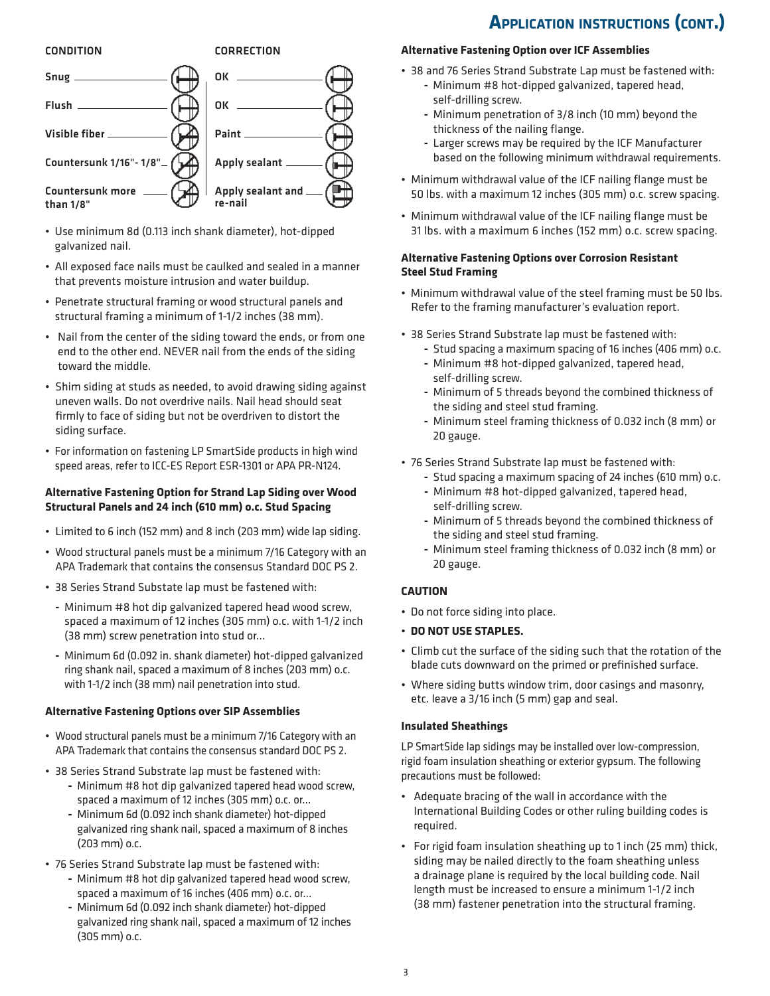## **Application instructions (cont.)**

### Snug Flush Visible fiber Countersunk 1/16"- 1/8" CONDITION CORRECTION **OK** OK Paint Apply sealant

• Use minimum 8d (0.113 inch shank diameter), hot-dipped galvanized nail.

Countersunk more

than 1/8"

• All exposed face nails must be caulked and sealed in a manner that prevents moisture intrusion and water buildup.

Apply sealant and

re-nail

- Penetrate structural framing or wood structural panels and structural framing a minimum of 1-1/2 inches (38 mm).
- Nail from the center of the siding toward the ends, or from one end to the other end. NEVER nail from the ends of the siding toward the middle.
- Shim siding at studs as needed, to avoid drawing siding against uneven walls. Do not overdrive nails. Nail head should seat firmly to face of siding but not be overdriven to distort the siding surface.
- For information on fastening LP SmartSide products in high wind speed areas, refer to ICC-ES Report ESR-1301 or APA PR-N124.

### **Alternative Fastening Option for Strand Lap Siding over Wood Structural Panels and 24 inch (610 mm) o.c. Stud Spacing**

- Limited to 6 inch (152 mm) and 8 inch (203 mm) wide lap siding.
- Wood structural panels must be a minimum 7/16 Category with an APA Trademark that contains the consensus Standard DOC PS 2.
- 38 Series Strand Substate lap must be fastened with:
	- **-** Minimum #8 hot dip galvanized tapered head wood screw, spaced a maximum of 12 inches (305 mm) o.c. with 1-1/2 inch (38 mm) screw penetration into stud or…
	- **-** Minimum 6d (0.092 in. shank diameter) hot-dipped galvanized ring shank nail, spaced a maximum of 8 inches (203 mm) o.c. with 1-1/2 inch (38 mm) nail penetration into stud.

### **Alternative Fastening Options over SIP Assemblies**

- Wood structural panels must be a minimum 7/16 Category with an APA Trademark that contains the consensus standard DOC PS 2.
- 38 Series Strand Substrate lap must be fastened with:
	- **-** Minimum #8 hot dip galvanized tapered head wood screw, spaced a maximum of 12 inches (305 mm) o.c. or...
	- **-** Minimum 6d (0.092 inch shank diameter) hot-dipped galvanized ring shank nail, spaced a maximum of 8 inches (203 mm) o.c.
- 76 Series Strand Substrate lap must be fastened with:
	- **-** Minimum #8 hot dip galvanized tapered head wood screw, spaced a maximum of 16 inches (406 mm) o.c. or…
	- **-** Minimum 6d (0.092 inch shank diameter) hot-dipped galvanized ring shank nail, spaced a maximum of 12 inches (305 mm) o.c.

### **Alternative Fastening Option over ICF Assemblies**

- 38 and 76 Series Strand Substrate Lap must be fastened with:
	- Minimum #8 hot-dipped galvanized, tapered head, self-drilling screw.
	- **-** Minimum penetration of 3/8 inch (10 mm) beyond the thickness of the nailing flange.
	- **-** Larger screws may be required by the ICF Manufacturer based on the following minimum withdrawal requirements.
- Minimum withdrawal value of the ICF nailing flange must be 50 lbs. with a maximum 12 inches (305 mm) o.c. screw spacing.
- Minimum withdrawal value of the ICF nailing flange must be 31 lbs. with a maximum 6 inches (152 mm) o.c. screw spacing.

### **Alternative Fastening Options over Corrosion Resistant Steel Stud Framing**

- Minimum withdrawal value of the steel framing must be 50 lbs. Refer to the framing manufacturer's evaluation report.
- 38 Series Strand Substrate lap must be fastened with:
	- **-** Stud spacing a maximum spacing of 16 inches (406 mm) o.c. **-** Minimum #8 hot-dipped galvanized, tapered head,
	- self-drilling screw.
	- **-** Minimum of 5 threads beyond the combined thickness of the siding and steel stud framing.
	- **-** Minimum steel framing thickness of 0.032 inch (8 mm) or 20 gauge.
- 76 Series Strand Substrate lap must be fastened with:
	- **-** Stud spacing a maximum spacing of 24 inches (610 mm) o.c.
	- **-** Minimum #8 hot-dipped galvanized, tapered head, self-drilling screw.
	- **-** Minimum of 5 threads beyond the combined thickness of the siding and steel stud framing.
	- **-** Minimum steel framing thickness of 0.032 inch (8 mm) or 20 gauge.

### **CAUTION**

- Do not force siding into place.
- **DO NOT USE STAPLES.**
- Climb cut the surface of the siding such that the rotation of the blade cuts downward on the primed or prefinished surface.
- Where siding butts window trim, door casings and masonry, etc. leave a 3/16 inch (5 mm) gap and seal.

### **Insulated Sheathings**

LP SmartSide lap sidings may be installed over low-compression, rigid foam insulation sheathing or exterior gypsum. The following precautions must be followed:

- Adequate bracing of the wall in accordance with the International Building Codes or other ruling building codes is required.
- For rigid foam insulation sheathing up to 1 inch (25 mm) thick, siding may be nailed directly to the foam sheathing unless a drainage plane is required by the local building code. Nail length must be increased to ensure a minimum 1-1/2 inch (38 mm) fastener penetration into the structural framing.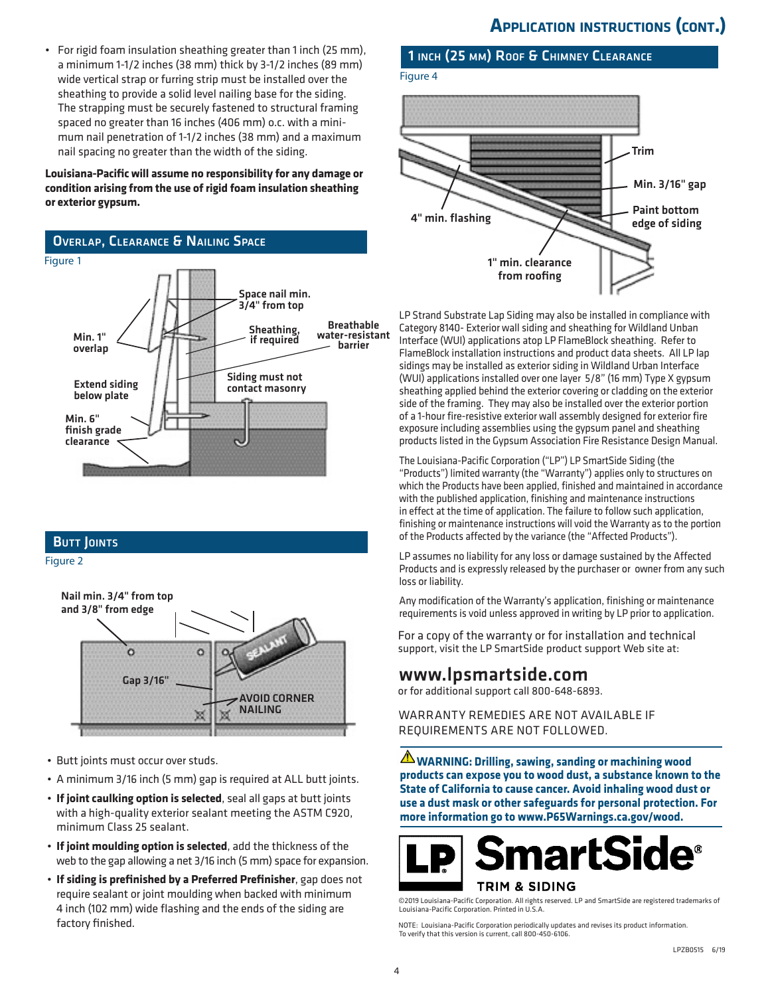## **Application instructions (cont.)**

• For rigid foam insulation sheathing greater than 1 inch (25 mm), a minimum 1-1/2 inches (38 mm) thick by 3-1/2 inches (89 mm) wide vertical strap or furring strip must be installed over the sheathing to provide a solid level nailing base for the siding. The strapping must be securely fastened to structural framing spaced no greater than 16 inches (406 mm) o.c. with a minimum nail penetration of 1-1/2 inches (38 mm) and a maximum nail spacing no greater than the width of the siding.

**Louisiana-Pacific will assume no responsibility for any damage or condition arising from the use of rigid foam insulation sheathing or exterior gypsum.**



### **BUTT JOINTS**

Figure 2



- Butt joints must occur over studs.
- A minimum 3/16 inch (5 mm) gap is required at ALL butt joints.
- **If joint caulking option is selected**, seal all gaps at butt joints with a high-quality exterior sealant meeting the ASTM C920, minimum Class 25 sealant.
- **If joint moulding option is selected**, add the thickness of the web to the gap allowing a net 3/16 inch (5 mm) space for expansion.
- **If siding is prefinished by a Preferred Prefinisher**, gap does not require sealant or joint moulding when backed with minimum 4 inch (102 mm) wide flashing and the ends of the siding are factory finished.

## 1 inch (25 mm) Roof & Chimney Clearance





LP Strand Substrate Lap Siding may also be installed in compliance with Category 8140- Exterior wall siding and sheathing for Wildland Unban Interface (WUI) applications atop LP FlameBlock sheathing. Refer to FlameBlock installation instructions and product data sheets. All LP lap sidings may be installed as exterior siding in Wildland Urban Interface (WUI) applications installed over one layer 5/8" (16 mm) Type X gypsum sheathing applied behind the exterior covering or cladding on the exterior side of the framing. They may also be installed over the exterior portion of a 1-hour fire-resistive exterior wall assembly designed for exterior fire exposure including assemblies using the gypsum panel and sheathing products listed in the Gypsum Association Fire Resistance Design Manual.

The Louisiana-Pacific Corporation ("LP") LP SmartSide Siding (the "Products") limited warranty (the "Warranty") applies only to structures on which the Products have been applied, finished and maintained in accordance with the published application, finishing and maintenance instructions in effect at the time of application. The failure to follow such application, finishing or maintenance instructions will void the Warranty as to the portion of the Products affected by the variance (the "Affected Products").

LP assumes no liability for any loss or damage sustained by the Affected Products and is expressly released by the purchaser or owner from any such loss or liability.

Any modification of the Warranty's application, finishing or maintenance requirements is void unless approved in writing by LP prior to application.

For a copy of the warranty or for installation and technical support, visit the LP SmartSide product support Web site at:

## www.lpsmartside.com

or for additional support call 800-648-6893.

WARRANTY REMEDIES ARE NOT AVAILABLE IF REQUIREMENTS ARE NOT FOLLOWED.

 **WARNING: Drilling, sawing, sanding or machining wood products can expose you to wood dust, a substance known to the State of California to cause cancer. Avoid inhaling wood dust or use a dust mask or other safeguards for personal protection. For more information go to www.P65Warnings.ca.gov/wood.**



©2019 Louisiana-Pacific Corporation. All rights reserved. LP and SmartSide are registered trademarks of Louisiana-Pacific Corporation. Printed in U.S.A.

NOTE: Louisiana-Pacific Corporation periodically updates and revises its product information. To verify that this version is current, call 800-450-6106.